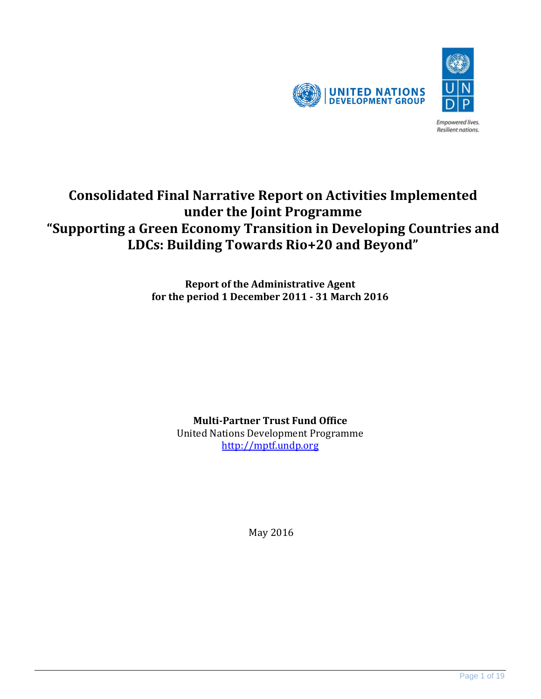

# **Consolidated Final Narrative Report on Activities Implemented under the Joint Programme "Supporting a Green Economy Transition in Developing Countries and LDCs: Building Towards Rio+20 and Beyond"**

**Report of the Administrative Agent for the period 1 December 2011 - 31 March 2016**

**Multi-Partner Trust Fund Office**

United Nations Development Programme [http://mptf.undp.org](http://mptf.undp.org/)

May 2016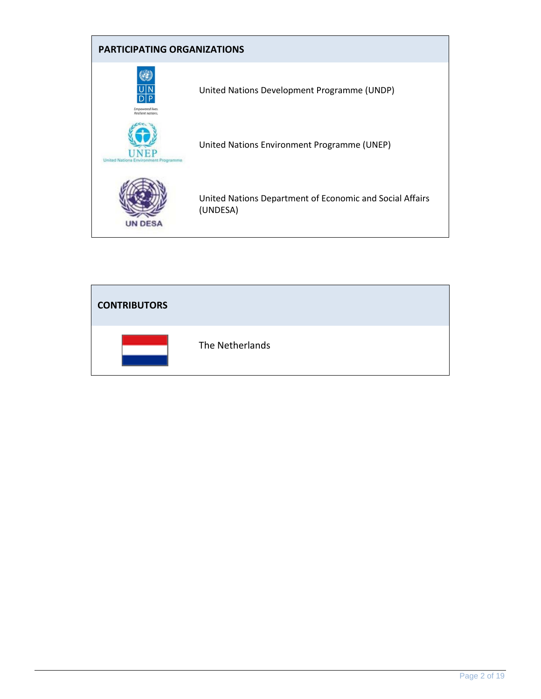

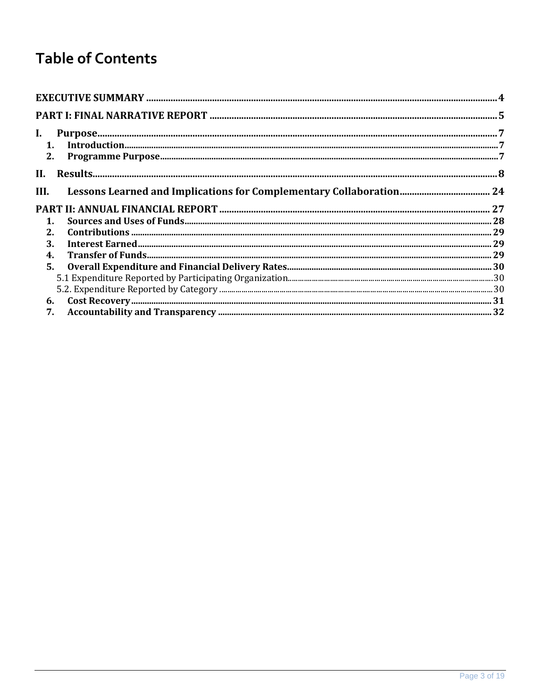# **Table of Contents**

| I.             |  |
|----------------|--|
|                |  |
|                |  |
| II.            |  |
| III.           |  |
|                |  |
| $\mathbf{1}$ . |  |
| $2_{-}$        |  |
| 3.             |  |
| 4.             |  |
|                |  |
|                |  |
|                |  |
|                |  |
|                |  |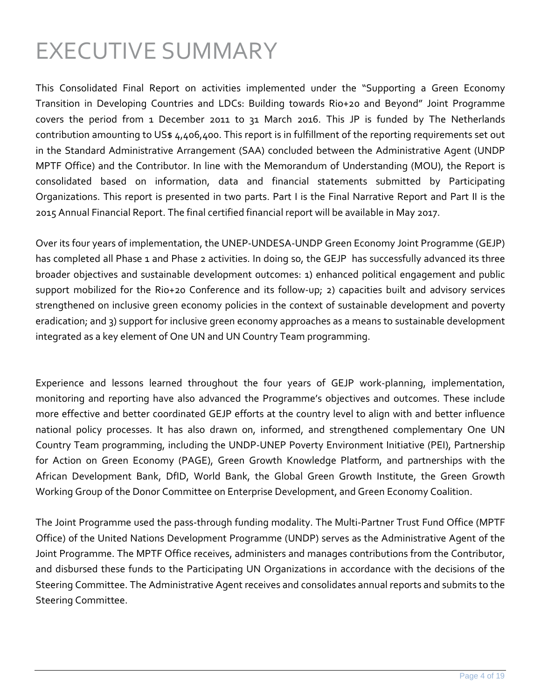# <span id="page-3-0"></span>EXECUTIVE SUMMARY

This Consolidated Final Report on activities implemented under the "Supporting a Green Economy Transition in Developing Countries and LDCs: Building towards Rio+20 and Beyond" Joint Programme covers the period from 1 December 2011 to 31 March 2016. This JP is funded by The Netherlands contribution amounting to US\$ 4,406,400. This report is in fulfillment of the reporting requirements set out in the Standard Administrative Arrangement (SAA) concluded between the Administrative Agent (UNDP MPTF Office) and the Contributor. In line with the Memorandum of Understanding (MOU), the Report is consolidated based on information, data and financial statements submitted by Participating Organizations. This report is presented in two parts. Part I is the Final Narrative Report and Part II is the 2015 Annual Financial Report. The final certified financial report will be available in May 2017.

Over its four years of implementation, the UNEP-UNDESA-UNDP Green Economy Joint Programme (GEJP) has completed all Phase 1 and Phase 2 activities. In doing so, the GEJP has successfully advanced its three broader objectives and sustainable development outcomes: 1) enhanced political engagement and public support mobilized for the Rio+20 Conference and its follow-up; 2) capacities built and advisory services strengthened on inclusive green economy policies in the context of sustainable development and poverty eradication; and 3) support for inclusive green economy approaches as a means to sustainable development integrated as a key element of One UN and UN Country Team programming.

Experience and lessons learned throughout the four years of GEJP work-planning, implementation, monitoring and reporting have also advanced the Programme's objectives and outcomes. These include more effective and better coordinated GEJP efforts at the country level to align with and better influence national policy processes. It has also drawn on, informed, and strengthened complementary One UN Country Team programming, including the UNDP-UNEP Poverty Environment Initiative (PEI), Partnership for Action on Green Economy (PAGE), Green Growth Knowledge Platform, and partnerships with the African Development Bank, DfID, World Bank, the Global Green Growth Institute, the Green Growth Working Group of the Donor Committee on Enterprise Development, and Green Economy Coalition.

The Joint Programme used the pass-through funding modality. The Multi-Partner Trust Fund Office (MPTF Office) of the United Nations Development Programme (UNDP) serves as the Administrative Agent of the Joint Programme. The MPTF Office receives, administers and manages contributions from the Contributor, and disbursed these funds to the Participating UN Organizations in accordance with the decisions of the Steering Committee. The Administrative Agent receives and consolidates annual reports and submits to the Steering Committee.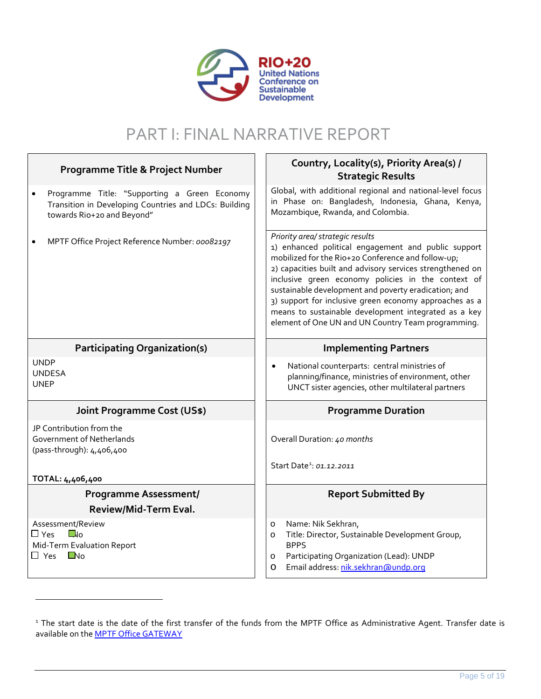

# PART I: FINAL NARRATIVE REPORT

 $\mathsf{r}$ 

| Programme Title & Project Number                                                                                                         | Country, Locality(s), Priority Area(s) /<br><b>Strategic Results</b>                                                                                                                                                                                                                                                                                                                                                                                                                             |
|------------------------------------------------------------------------------------------------------------------------------------------|--------------------------------------------------------------------------------------------------------------------------------------------------------------------------------------------------------------------------------------------------------------------------------------------------------------------------------------------------------------------------------------------------------------------------------------------------------------------------------------------------|
| Programme Title: "Supporting a Green Economy<br>٠<br>Transition in Developing Countries and LDCs: Building<br>towards Rio+20 and Beyond" | Global, with additional regional and national-level focus<br>in Phase on: Bangladesh, Indonesia, Ghana, Kenya,<br>Mozambique, Rwanda, and Colombia.                                                                                                                                                                                                                                                                                                                                              |
| MPTF Office Project Reference Number: 00082197                                                                                           | Priority area/ strategic results<br>1) enhanced political engagement and public support<br>mobilized for the Rio+20 Conference and follow-up;<br>2) capacities built and advisory services strengthened on<br>inclusive green economy policies in the context of<br>sustainable development and poverty eradication; and<br>3) support for inclusive green economy approaches as a<br>means to sustainable development integrated as a key<br>element of One UN and UN Country Team programming. |
| <b>Participating Organization(s)</b>                                                                                                     | <b>Implementing Partners</b>                                                                                                                                                                                                                                                                                                                                                                                                                                                                     |
| <b>UNDP</b><br><b>UNDESA</b><br><b>UNEP</b>                                                                                              | National counterparts: central ministries of<br>$\bullet$<br>planning/finance, ministries of environment, other<br>UNCT sister agencies, other multilateral partners                                                                                                                                                                                                                                                                                                                             |
| <b>Joint Programme Cost (US\$)</b>                                                                                                       | <b>Programme Duration</b>                                                                                                                                                                                                                                                                                                                                                                                                                                                                        |
| JP Contribution from the<br>Government of Netherlands<br>(pass-through): 4,406,400                                                       | Overall Duration: 40 months                                                                                                                                                                                                                                                                                                                                                                                                                                                                      |
| TOTAL: 4,406,400                                                                                                                         | Start Date <sup>1</sup> : 01.12.2011                                                                                                                                                                                                                                                                                                                                                                                                                                                             |
| <b>Programme Assessment/</b>                                                                                                             | <b>Report Submitted By</b>                                                                                                                                                                                                                                                                                                                                                                                                                                                                       |
| Review/Mid-Term Eval.                                                                                                                    |                                                                                                                                                                                                                                                                                                                                                                                                                                                                                                  |
| Assessment/Review<br>$\Box$ Yes<br>$\Box$ lo<br>Mid-Term Evaluation Report<br>$\blacksquare$ No<br>$\Box$ Yes                            | Name: Nik Sekhran,<br>$\circ$<br>Title: Director, Sustainable Development Group,<br>$\circ$<br><b>BPPS</b><br>Participating Organization (Lead): UNDP<br>$\circ$<br>Email address: nik.sekhran@undp.org<br>O                                                                                                                                                                                                                                                                                     |

1

<span id="page-4-0"></span>r

<span id="page-4-1"></span><sup>&</sup>lt;sup>1</sup> The start date is the date of the first transfer of the funds from the MPTF Office as Administrative Agent. Transfer date is available on the **MPTF Office GATEWAY**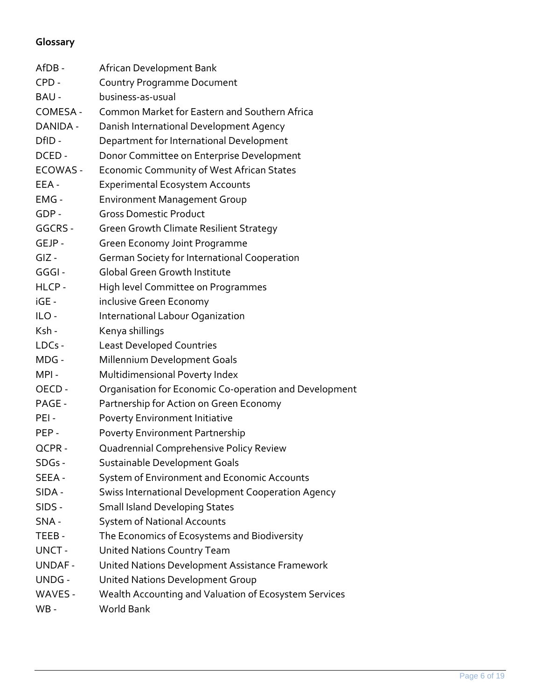# **Glossary**

| AfDB -   | African Development Bank                               |
|----------|--------------------------------------------------------|
| CPD -    | <b>Country Programme Document</b>                      |
| BAU -    | business-as-usual                                      |
| COMESA - | Common Market for Eastern and Southern Africa          |
| DANIDA - | Danish International Development Agency                |
| DfID -   | Department for International Development               |
| DCED -   | Donor Committee on Enterprise Development              |
| ECOWAS - | Economic Community of West African States              |
| EEA -    | <b>Experimental Ecosystem Accounts</b>                 |
| EMG -    | <b>Environment Management Group</b>                    |
| GDP -    | <b>Gross Domestic Product</b>                          |
| GGCRS -  | <b>Green Growth Climate Resilient Strategy</b>         |
| GEJP -   | Green Economy Joint Programme                          |
| GIZ -    | German Society for International Cooperation           |
| GGGI -   | <b>Global Green Growth Institute</b>                   |
| HLCP -   | High level Committee on Programmes                     |
| iGE -    | inclusive Green Economy                                |
| ILO-     | International Labour Oganization                       |
| Ksh -    | Kenya shillings                                        |
| LDCs -   | <b>Least Developed Countries</b>                       |
| MDG -    | Millennium Development Goals                           |
| MPI -    | Multidimensional Poverty Index                         |
| OECD -   | Organisation for Economic Co-operation and Development |
| PAGE -   | Partnership for Action on Green Economy                |
| PEI -    | <b>Poverty Environment Initiative</b>                  |
| PEP -    | <b>Poverty Environment Partnership</b>                 |
| QCPR-    | Quadrennial Comprehensive Policy Review                |
| SDGs -   | Sustainable Development Goals                          |
| SEEA -   | System of Environment and Economic Accounts            |
| SIDA -   | Swiss International Development Cooperation Agency     |
| SIDS -   | <b>Small Island Developing States</b>                  |
| SNA -    | <b>System of National Accounts</b>                     |
| TEEB -   | The Economics of Ecosystems and Biodiversity           |
| UNCT -   | <b>United Nations Country Team</b>                     |
| UNDAF -  | United Nations Development Assistance Framework        |
| UNDG -   | United Nations Development Group                       |
| WAVES -  | Wealth Accounting and Valuation of Ecosystem Services  |
| WB -     | World Bank                                             |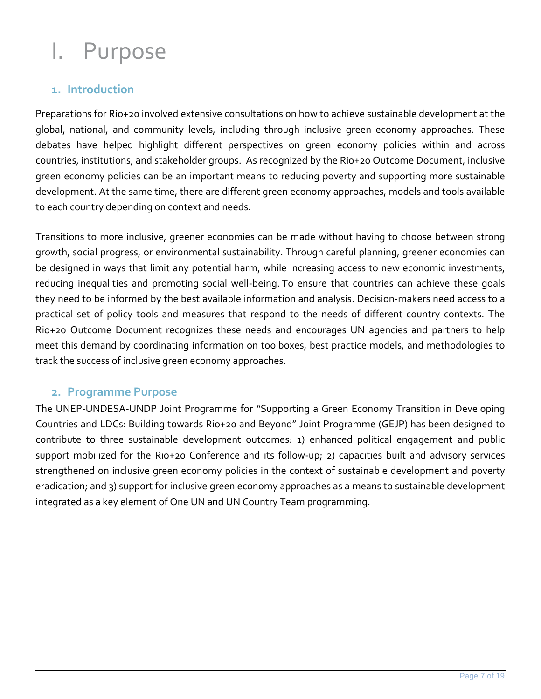# <span id="page-6-0"></span>I. Purpose

## <span id="page-6-1"></span>**1. Introduction**

Preparations for Rio+20 involved extensive consultations on how to achieve sustainable development at the global, national, and community levels, including through inclusive green economy approaches. These debates have helped highlight different perspectives on green economy policies within and across countries, institutions, and stakeholder groups. As recognized by the Rio+20 Outcome Document, inclusive green economy policies can be an important means to reducing poverty and supporting more sustainable development. At the same time, there are different green economy approaches, models and tools available to each country depending on context and needs.

Transitions to more inclusive, greener economies can be made without having to choose between strong growth, social progress, or environmental sustainability. Through careful planning, greener economies can be designed in ways that limit any potential harm, while increasing access to new economic investments, reducing inequalities and promoting social well-being. To ensure that countries can achieve these goals they need to be informed by the best available information and analysis. Decision-makers need access to a practical set of policy tools and measures that respond to the needs of different country contexts. The Rio+20 Outcome Document recognizes these needs and encourages UN agencies and partners to help meet this demand by coordinating information on toolboxes, best practice models, and methodologies to track the success of inclusive green economy approaches.

### <span id="page-6-2"></span>**2. Programme Purpose**

The UNEP-UNDESA-UNDP Joint Programme for "Supporting a Green Economy Transition in Developing Countries and LDCs: Building towards Rio+20 and Beyond" Joint Programme (GEJP) has been designed to contribute to three sustainable development outcomes: 1) enhanced political engagement and public support mobilized for the Rio+20 Conference and its follow-up; 2) capacities built and advisory services strengthened on inclusive green economy policies in the context of sustainable development and poverty eradication; and 3) support for inclusive green economy approaches as a means to sustainable development integrated as a key element of One UN and UN Country Team programming.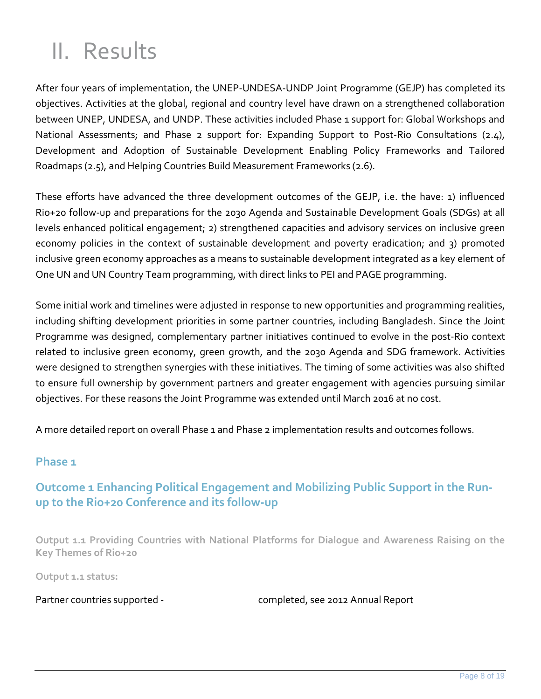# <span id="page-7-0"></span>II. Results

After four years of implementation, the UNEP-UNDESA-UNDP Joint Programme (GEJP) has completed its objectives. Activities at the global, regional and country level have drawn on a strengthened collaboration between UNEP, UNDESA, and UNDP. These activities included Phase 1 support for: Global Workshops and National Assessments; and Phase 2 support for: Expanding Support to Post-Rio Consultations (2.4), Development and Adoption of Sustainable Development Enabling Policy Frameworks and Tailored Roadmaps (2.5), and Helping Countries Build Measurement Frameworks (2.6).

These efforts have advanced the three development outcomes of the GEJP, i.e. the have: 1) influenced Rio+20 follow-up and preparations for the 2030 Agenda and Sustainable Development Goals (SDGs) at all levels enhanced political engagement; 2) strengthened capacities and advisory services on inclusive green economy policies in the context of sustainable development and poverty eradication; and 3) promoted inclusive green economy approaches as a means to sustainable development integrated as a key element of One UN and UN Country Team programming, with direct links to PEI and PAGE programming.

Some initial work and timelines were adjusted in response to new opportunities and programming realities, including shifting development priorities in some partner countries, including Bangladesh. Since the Joint Programme was designed, complementary partner initiatives continued to evolve in the post-Rio context related to inclusive green economy, green growth, and the 2030 Agenda and SDG framework. Activities were designed to strengthen synergies with these initiatives. The timing of some activities was also shifted to ensure full ownership by government partners and greater engagement with agencies pursuing similar objectives. For these reasons the Joint Programme was extended until March 2016 at no cost.

A more detailed report on overall Phase 1 and Phase 2 implementation results and outcomes follows.

#### **Phase 1**

# **Outcome 1 Enhancing Political Engagement and Mobilizing Public Support in the Runup to the Rio+20 Conference and its follow-up**

**Output 1.1 Providing Countries with National Platforms for Dialogue and Awareness Raising on the Key Themes of Rio+20**

**Output 1.1 status:** 

Partner countries supported - completed, see 2012 Annual Report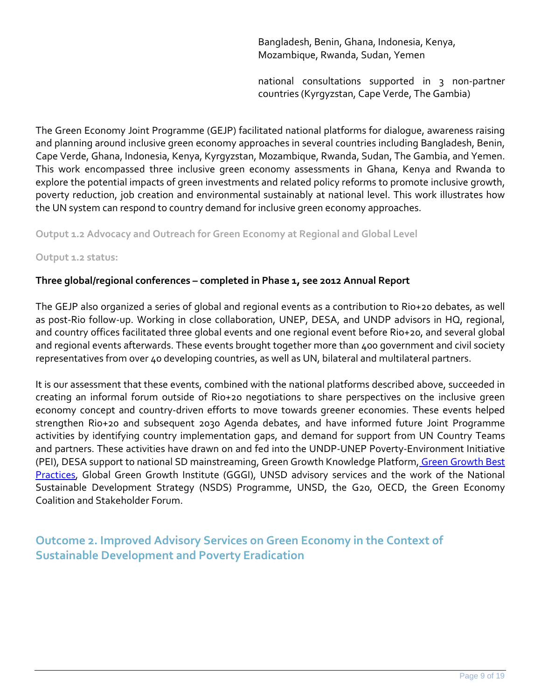Bangladesh, Benin, Ghana, Indonesia, Kenya, Mozambique, Rwanda, Sudan, Yemen

national consultations supported in 3 non-partner countries (Kyrgyzstan, Cape Verde, The Gambia)

The Green Economy Joint Programme (GEJP) facilitated national platforms for dialogue, awareness raising and planning around inclusive green economy approaches in several countries including Bangladesh, Benin, Cape Verde, Ghana, Indonesia, Kenya, Kyrgyzstan, Mozambique, Rwanda, Sudan, The Gambia, and Yemen. This work encompassed three inclusive green economy assessments in Ghana, Kenya and Rwanda to explore the potential impacts of green investments and related policy reforms to promote inclusive growth, poverty reduction, job creation and environmental sustainably at national level. This work illustrates how the UN system can respond to country demand for inclusive green economy approaches.

**Output 1.2 Advocacy and Outreach for Green Economy at Regional and Global Level**

**Output 1.2 status:**

#### **Three global/regional conferences – completed in Phase 1, see 2012 Annual Report**

The GEJP also organized a series of global and regional events as a contribution to Rio+20 debates, as well as post-Rio follow-up. Working in close collaboration, UNEP, DESA, and UNDP advisors in HQ, regional, and country offices facilitated three global events and one regional event before Rio+20, and several global and regional events afterwards. These events brought together more than 400 government and civil society representatives from over 40 developing countries, as well as UN, bilateral and multilateral partners.

It is our assessment that these events, combined with the national platforms described above, succeeded in creating an informal forum outside of Rio+20 negotiations to share perspectives on the inclusive green economy concept and country-driven efforts to move towards greener economies. These events helped strengthen Rio+20 and subsequent 2030 Agenda debates, and have informed future Joint Programme activities by identifying country implementation gaps, and demand for support from UN Country Teams and partners. These activities have drawn on and fed into the UNDP-UNEP Poverty-Environment Initiative (PEI), DESA support to national SD mainstreaming, Green Growth Knowledge Platform, Green Growth Best Practices, Global Green Growth Institute (GGGI), UNSD advisory services and the work of the National Sustainable Development Strategy (NSDS) Programme, UNSD, the G20, OECD, the Green Economy Coalition and Stakeholder Forum.

**Outcome 2. Improved Advisory Services on Green Economy in the Context of Sustainable Development and Poverty Eradication**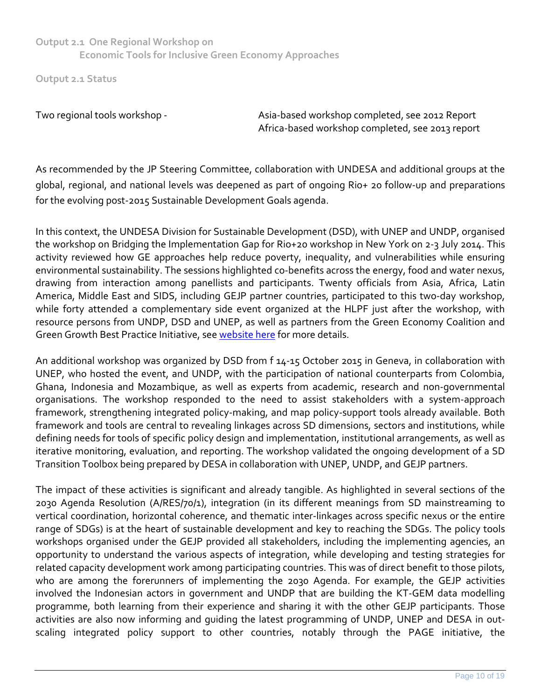**Output 2.1 One Regional Workshop on Economic Tools for Inclusive Green Economy Approaches**

**Output 2.1 Status** 

Two regional tools workshop - Asia-based workshop completed, see 2012 Report Africa-based workshop completed, see 2013 report

As recommended by the JP Steering Committee, collaboration with UNDESA and additional groups at the global, regional, and national levels was deepened as part of ongoing Rio+ 20 follow-up and preparations for the evolving post-2015 Sustainable Development Goals agenda.

In this context, the UNDESA Division for Sustainable Development (DSD), with UNEP and UNDP, organised the workshop on Bridging the Implementation Gap for Rio+20 workshop in New York on 2-3 July 2014. This activity reviewed how GE approaches help reduce poverty, inequality, and vulnerabilities while ensuring environmental sustainability. The sessions highlighted co-benefits across the energy, food and water nexus, drawing from interaction among panellists and participants. Twenty officials from Asia, Africa, Latin America, Middle East and SIDS, including GEJP partner countries, participated to this two-day workshop, while forty attended a complementary side event organized at the HLPF just after the workshop, with resource persons from UNDP, DSD and UNEP, as well as partners from the Green Economy Coalition and Green Growth Best Practice Initiative, see [website here](https://sustainabledevelopment.un.org/index.php?page=view&type=13&nr=778&menu=23) for more details.

An additional workshop was organized by DSD from f 14-15 October 2015 in Geneva, in collaboration with UNEP, who hosted the event, and UNDP, with the participation of national counterparts from Colombia, Ghana, Indonesia and Mozambique, as well as experts from academic, research and non-governmental organisations. The workshop responded to the need to assist stakeholders with a system-approach framework, strengthening integrated policy-making, and map policy-support tools already available. Both framework and tools are central to revealing linkages across SD dimensions, sectors and institutions, while defining needs for tools of specific policy design and implementation, institutional arrangements, as well as iterative monitoring, evaluation, and reporting. The workshop validated the ongoing development of a SD Transition Toolbox being prepared by DESA in collaboration with UNEP, UNDP, and GEJP partners.

The impact of these activities is significant and already tangible. As highlighted in several sections of the 2030 Agenda Resolution (A/RES/70/1), integration (in its different meanings from SD mainstreaming to vertical coordination, horizontal coherence, and thematic inter-linkages across specific nexus or the entire range of SDGs) is at the heart of sustainable development and key to reaching the SDGs. The policy tools workshops organised under the GEJP provided all stakeholders, including the implementing agencies, an opportunity to understand the various aspects of integration, while developing and testing strategies for related capacity development work among participating countries. This was of direct benefit to those pilots, who are among the forerunners of implementing the 2030 Agenda. For example, the GEJP activities involved the Indonesian actors in government and UNDP that are building the KT-GEM data modelling programme, both learning from their experience and sharing it with the other GEJP participants. Those activities are also now informing and guiding the latest programming of UNDP, UNEP and DESA in outscaling integrated policy support to other countries, notably through the PAGE initiative, the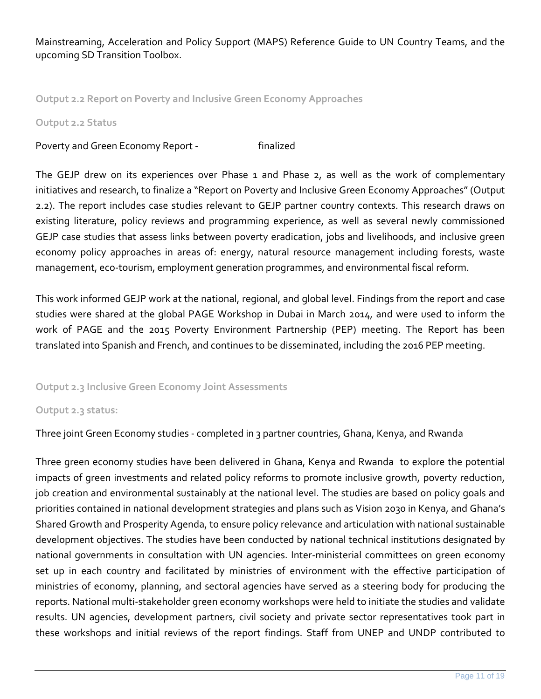Mainstreaming, Acceleration and Policy Support (MAPS) Reference Guide to UN Country Teams, and the upcoming SD Transition Toolbox.

**Output 2.2 Report on Poverty and Inclusive Green Economy Approaches** 

#### **Output 2.2 Status**

Poverty and Green Economy Report - Finalized

The GEJP drew on its experiences over Phase 1 and Phase 2, as well as the work of complementary initiatives and research, to finalize a "Report on Poverty and Inclusive Green Economy Approaches" (Output 2.2). The report includes case studies relevant to GEJP partner country contexts. This research draws on existing literature, policy reviews and programming experience, as well as several newly commissioned GEJP case studies that assess links between poverty eradication, jobs and livelihoods, and inclusive green economy policy approaches in areas of: energy, natural resource management including forests, waste management, eco-tourism, employment generation programmes, and environmental fiscal reform.

This work informed GEJP work at the national, regional, and global level. Findings from the report and case studies were shared at the global PAGE Workshop in Dubai in March 2014, and were used to inform the work of PAGE and the 2015 Poverty Environment Partnership (PEP) meeting. The Report has been translated into Spanish and French, and continues to be disseminated, including the 2016 PEP meeting.

#### **Output 2.3 Inclusive Green Economy Joint Assessments**

#### **Output 2.3 status:**

Three joint Green Economy studies - completed in 3 partner countries, Ghana, Kenya, and Rwanda

Three green economy studies have been delivered in Ghana, Kenya and Rwanda to explore the potential impacts of green investments and related policy reforms to promote inclusive growth, poverty reduction, job creation and environmental sustainably at the national level. The studies are based on policy goals and priorities contained in national development strategies and plans such as Vision 2030 in Kenya, and Ghana's Shared Growth and Prosperity Agenda, to ensure policy relevance and articulation with national sustainable development objectives. The studies have been conducted by national technical institutions designated by national governments in consultation with UN agencies. Inter-ministerial committees on green economy set up in each country and facilitated by ministries of environment with the effective participation of ministries of economy, planning, and sectoral agencies have served as a steering body for producing the reports. National multi-stakeholder green economy workshops were held to initiate the studies and validate results. UN agencies, development partners, civil society and private sector representatives took part in these workshops and initial reviews of the report findings. Staff from UNEP and UNDP contributed to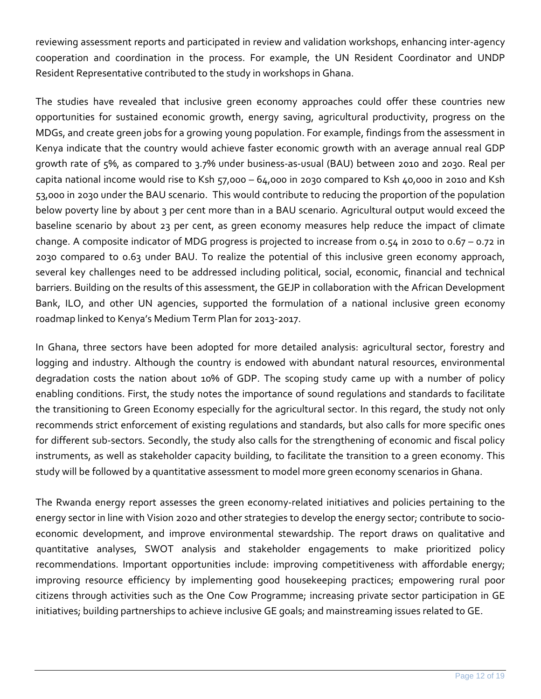reviewing assessment reports and participated in review and validation workshops, enhancing inter-agency cooperation and coordination in the process. For example, the UN Resident Coordinator and UNDP Resident Representative contributed to the study in workshops in Ghana.

The studies have revealed that inclusive green economy approaches could offer these countries new opportunities for sustained economic growth, energy saving, agricultural productivity, progress on the MDGs, and create green jobs for a growing young population. For example, findings from the assessment in Kenya indicate that the country would achieve faster economic growth with an average annual real GDP growth rate of 5%, as compared to 3.7% under business-as-usual (BAU) between 2010 and 2030. Real per capita national income would rise to Ksh  $57,000 - 64,000$  in 2030 compared to Ksh  $40,000$  in 2010 and Ksh 53,000 in 2030 under the BAU scenario. This would contribute to reducing the proportion of the population below poverty line by about 3 per cent more than in a BAU scenario. Agricultural output would exceed the baseline scenario by about 23 per cent, as green economy measures help reduce the impact of climate change. A composite indicator of MDG progress is projected to increase from 0.54 in 2010 to 0.67 – 0.72 in 2030 compared to 0.63 under BAU. To realize the potential of this inclusive green economy approach, several key challenges need to be addressed including political, social, economic, financial and technical barriers. Building on the results of this assessment, the GEJP in collaboration with the African Development Bank, ILO, and other UN agencies, supported the formulation of a national inclusive green economy roadmap linked to Kenya's Medium Term Plan for 2013-2017.

In Ghana, three sectors have been adopted for more detailed analysis: agricultural sector, forestry and logging and industry. Although the country is endowed with abundant natural resources, environmental degradation costs the nation about 10% of GDP. The scoping study came up with a number of policy enabling conditions. First, the study notes the importance of sound regulations and standards to facilitate the transitioning to Green Economy especially for the agricultural sector. In this regard, the study not only recommends strict enforcement of existing regulations and standards, but also calls for more specific ones for different sub-sectors. Secondly, the study also calls for the strengthening of economic and fiscal policy instruments, as well as stakeholder capacity building, to facilitate the transition to a green economy. This study will be followed by a quantitative assessment to model more green economy scenarios in Ghana.

The Rwanda energy report assesses the green economy-related initiatives and policies pertaining to the energy sector in line with Vision 2020 and other strategies to develop the energy sector; contribute to socioeconomic development, and improve environmental stewardship. The report draws on qualitative and quantitative analyses, SWOT analysis and stakeholder engagements to make prioritized policy recommendations. Important opportunities include: improving competitiveness with affordable energy; improving resource efficiency by implementing good housekeeping practices; empowering rural poor citizens through activities such as the One Cow Programme; increasing private sector participation in GE initiatives; building partnerships to achieve inclusive GE goals; and mainstreaming issues related to GE.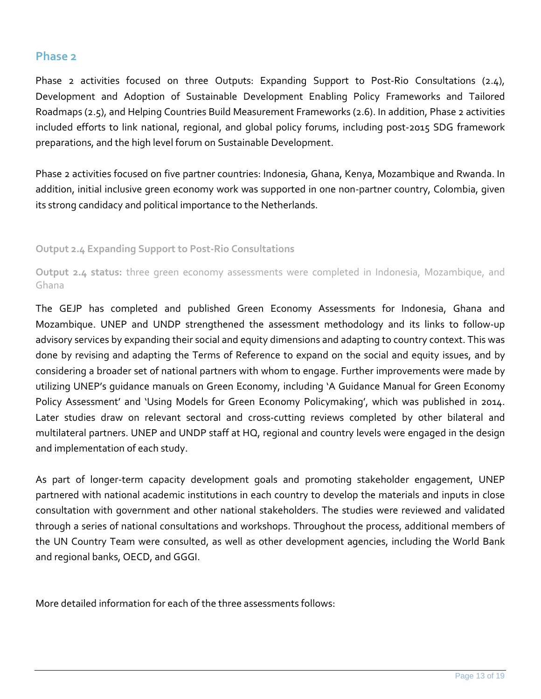#### **Phase 2**

Phase 2 activities focused on three Outputs: Expanding Support to Post-Rio Consultations (2.4), Development and Adoption of Sustainable Development Enabling Policy Frameworks and Tailored Roadmaps (2.5), and Helping Countries Build Measurement Frameworks (2.6). In addition, Phase 2 activities included efforts to link national, regional, and global policy forums, including post-2015 SDG framework preparations, and the high level forum on Sustainable Development.

Phase 2 activities focused on five partner countries: Indonesia, Ghana, Kenya, Mozambique and Rwanda. In addition, initial inclusive green economy work was supported in one non-partner country, Colombia, given its strong candidacy and political importance to the Netherlands.

**Output 2.4 Expanding Support to Post-Rio Consultations** 

**Output 2.4 status:** three green economy assessments were completed in Indonesia, Mozambique, and Ghana

The GEJP has completed and published Green Economy Assessments for Indonesia, Ghana and Mozambique. UNEP and UNDP strengthened the assessment methodology and its links to follow-up advisory services by expanding their social and equity dimensions and adapting to country context. This was done by revising and adapting the Terms of Reference to expand on the social and equity issues, and by considering a broader set of national partners with whom to engage. Further improvements were made by utilizing UNEP's guidance manuals on Green Economy, including 'A Guidance Manual for Green Economy Policy Assessment' and 'Using Models for Green Economy Policymaking', which was published in 2014. Later studies draw on relevant sectoral and cross-cutting reviews completed by other bilateral and multilateral partners. UNEP and UNDP staff at HQ, regional and country levels were engaged in the design and implementation of each study.

As part of longer-term capacity development goals and promoting stakeholder engagement, UNEP partnered with national academic institutions in each country to develop the materials and inputs in close consultation with government and other national stakeholders. The studies were reviewed and validated through a series of national consultations and workshops. Throughout the process, additional members of the UN Country Team were consulted, as well as other development agencies, including the World Bank and regional banks, OECD, and GGGI.

More detailed information for each of the three assessments follows: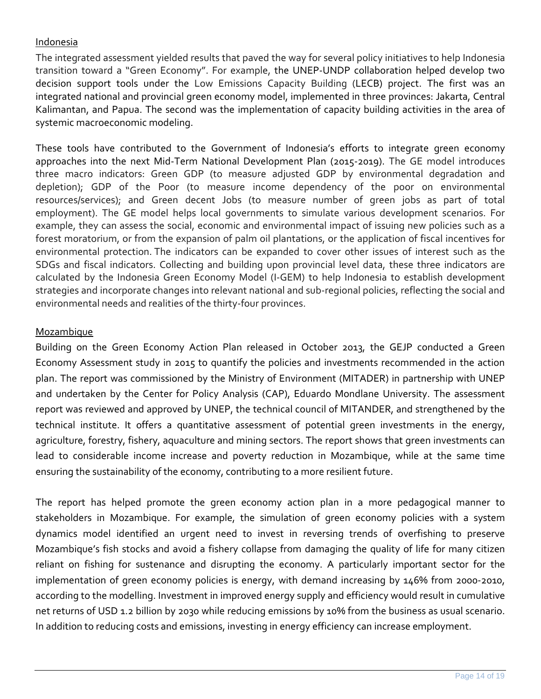#### Indonesia

The integrated assessment yielded results that paved the way for several policy initiatives to help Indonesia transition toward a "Green Economy". For example, the UNEP-UNDP collaboration helped develop two decision support tools under the Low Emissions Capacity Building (LECB) project. The first was an integrated national and provincial green economy model, implemented in three provinces: Jakarta, Central Kalimantan, and Papua. The second was the implementation of capacity building activities in the area of systemic macroeconomic modeling.

These tools have contributed to the Government of Indonesia's efforts to integrate green economy approaches into the next Mid-Term National Development Plan (2015-2019). The GE model introduces three macro indicators: Green GDP (to measure adjusted GDP by environmental degradation and depletion); GDP of the Poor (to measure income dependency of the poor on environmental resources/services); and Green decent Jobs (to measure number of green jobs as part of total employment). The GE model helps local governments to simulate various development scenarios. For example, they can assess the social, economic and environmental impact of issuing new policies such as a forest moratorium, or from the expansion of palm oil plantations, or the application of fiscal incentives for environmental protection. The indicators can be expanded to cover other issues of interest such as the SDGs and fiscal indicators. Collecting and building upon provincial level data, these three indicators are calculated by the Indonesia Green Economy Model (I-GEM) to help Indonesia to establish development strategies and incorporate changes into relevant national and sub-regional policies, reflecting the social and environmental needs and realities of the thirty-four provinces.

#### Mozambique

Building on the Green Economy Action Plan released in October 2013, the GEJP conducted a Green Economy Assessment study in 2015 to quantify the policies and investments recommended in the action plan. The report was commissioned by the Ministry of Environment (MITADER) in partnership with UNEP and undertaken by the Center for Policy Analysis (CAP), Eduardo Mondlane University. The assessment report was reviewed and approved by UNEP, the technical council of MITANDER, and strengthened by the technical institute. It offers a quantitative assessment of potential green investments in the energy, agriculture, forestry, fishery, aquaculture and mining sectors. The report shows that green investments can lead to considerable income increase and poverty reduction in Mozambique, while at the same time ensuring the sustainability of the economy, contributing to a more resilient future.

The report has helped promote the green economy action plan in a more pedagogical manner to stakeholders in Mozambique. For example, the simulation of green economy policies with a system dynamics model identified an urgent need to invest in reversing trends of overfishing to preserve Mozambique's fish stocks and avoid a fishery collapse from damaging the quality of life for many citizen reliant on fishing for sustenance and disrupting the economy. A particularly important sector for the implementation of green economy policies is energy, with demand increasing by 146% from 2000-2010, according to the modelling. Investment in improved energy supply and efficiency would result in cumulative net returns of USD 1.2 billion by 2030 while reducing emissions by 10% from the business as usual scenario. In addition to reducing costs and emissions, investing in energy efficiency can increase employment.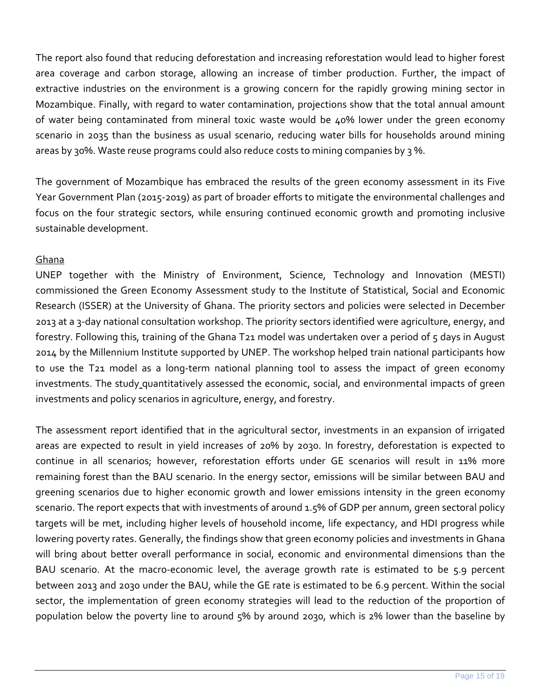The report also found that reducing deforestation and increasing reforestation would lead to higher forest area coverage and carbon storage, allowing an increase of timber production. Further, the impact of extractive industries on the environment is a growing concern for the rapidly growing mining sector in Mozambique. Finally, with regard to water contamination, projections show that the total annual amount of water being contaminated from mineral toxic waste would be 40% lower under the green economy scenario in 2035 than the business as usual scenario, reducing water bills for households around mining areas by 30%. Waste reuse programs could also reduce costs to mining companies by 3 %.

The government of Mozambique has embraced the results of the green economy assessment in its Five Year Government Plan (2015-2019) as part of broader efforts to mitigate the environmental challenges and focus on the four strategic sectors, while ensuring continued economic growth and promoting inclusive sustainable development.

#### Ghana

UNEP together with the Ministry of Environment, Science, Technology and Innovation (MESTI) commissioned the Green Economy Assessment study to the Institute of Statistical, Social and Economic Research (ISSER) at the University of Ghana. The priority sectors and policies were selected in December 2013 at a 3-day national consultation workshop. The priority sectors identified were agriculture, energy, and forestry. Following this, training of the Ghana T21 model was undertaken over a period of 5 days in August 2014 by the Millennium Institute supported by UNEP. The workshop helped train national participants how to use the T21 model as a long-term national planning tool to assess the impact of green economy investments. The study quantitatively assessed the economic, social, and environmental impacts of green investments and policy scenarios in agriculture, energy, and forestry.

The assessment report identified that in the agricultural sector, investments in an expansion of irrigated areas are expected to result in yield increases of 20% by 2030. In forestry, deforestation is expected to continue in all scenarios; however, reforestation efforts under GE scenarios will result in 11% more remaining forest than the BAU scenario. In the energy sector, emissions will be similar between BAU and greening scenarios due to higher economic growth and lower emissions intensity in the green economy scenario. The report expects that with investments of around 1.5% of GDP per annum, green sectoral policy targets will be met, including higher levels of household income, life expectancy, and HDI progress while lowering poverty rates. Generally, the findings show that green economy policies and investments in Ghana will bring about better overall performance in social, economic and environmental dimensions than the BAU scenario. At the macro-economic level, the average growth rate is estimated to be 5.9 percent between 2013 and 2030 under the BAU, while the GE rate is estimated to be 6.9 percent. Within the social sector, the implementation of green economy strategies will lead to the reduction of the proportion of population below the poverty line to around 5% by around 2030, which is 2% lower than the baseline by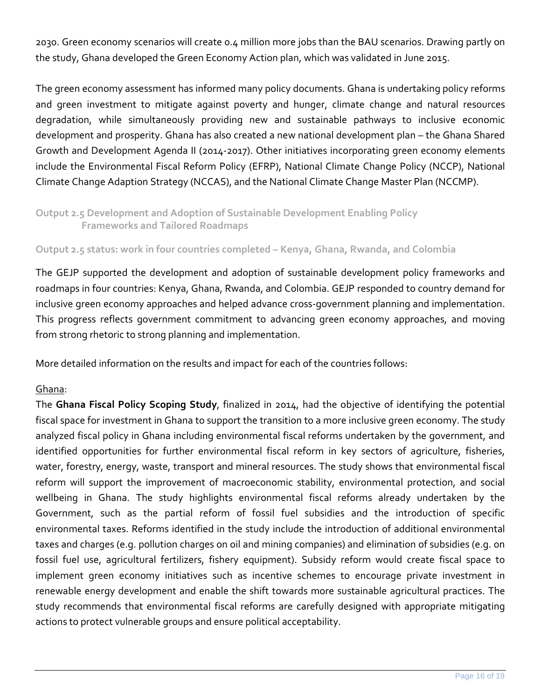2030. Green economy scenarios will create 0.4 million more jobs than the BAU scenarios. Drawing partly on the study, Ghana developed the Green Economy Action plan, which was validated in June 2015.

The green economy assessment has informed many policy documents. Ghana is undertaking policy reforms and green investment to mitigate against poverty and hunger, climate change and natural resources degradation, while simultaneously providing new and sustainable pathways to inclusive economic development and prosperity. Ghana has also created a new national development plan – the Ghana Shared Growth and Development Agenda II (2014-2017). Other initiatives incorporating green economy elements include the Environmental Fiscal Reform Policy (EFRP), National Climate Change Policy (NCCP), National Climate Change Adaption Strategy (NCCAS), and the National Climate Change Master Plan (NCCMP).

#### **Output 2.5 Development and Adoption of Sustainable Development Enabling Policy Frameworks and Tailored Roadmaps**

#### **Output 2.5 status: work in four countries completed – Kenya, Ghana, Rwanda, and Colombia**

The GEJP supported the development and adoption of sustainable development policy frameworks and roadmaps in four countries: Kenya, Ghana, Rwanda, and Colombia. GEJP responded to country demand for inclusive green economy approaches and helped advance cross-government planning and implementation. This progress reflects government commitment to advancing green economy approaches, and moving from strong rhetoric to strong planning and implementation.

More detailed information on the results and impact for each of the countries follows:

#### Ghana:

The **Ghana Fiscal Policy Scoping Study**, finalized in 2014, had the objective of identifying the potential fiscal space for investment in Ghana to support the transition to a more inclusive green economy. The study analyzed fiscal policy in Ghana including environmental fiscal reforms undertaken by the government, and identified opportunities for further environmental fiscal reform in key sectors of agriculture, fisheries, water, forestry, energy, waste, transport and mineral resources. The study shows that environmental fiscal reform will support the improvement of macroeconomic stability, environmental protection, and social wellbeing in Ghana. The study highlights environmental fiscal reforms already undertaken by the Government, such as the partial reform of fossil fuel subsidies and the introduction of specific environmental taxes. Reforms identified in the study include the introduction of additional environmental taxes and charges (e.g. pollution charges on oil and mining companies) and elimination of subsidies (e.g. on fossil fuel use, agricultural fertilizers, fishery equipment). Subsidy reform would create fiscal space to implement green economy initiatives such as incentive schemes to encourage private investment in renewable energy development and enable the shift towards more sustainable agricultural practices. The study recommends that environmental fiscal reforms are carefully designed with appropriate mitigating actions to protect vulnerable groups and ensure political acceptability.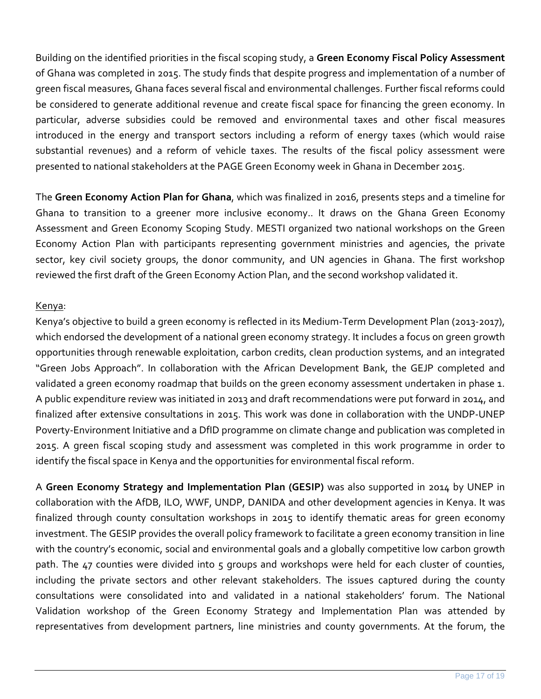Building on the identified priorities in the fiscal scoping study, a **Green Economy Fiscal Policy Assessment** of Ghana was completed in 2015. The study finds that despite progress and implementation of a number of green fiscal measures, Ghana faces several fiscal and environmental challenges. Further fiscal reforms could be considered to generate additional revenue and create fiscal space for financing the green economy. In particular, adverse subsidies could be removed and environmental taxes and other fiscal measures introduced in the energy and transport sectors including a reform of energy taxes (which would raise substantial revenues) and a reform of vehicle taxes. The results of the fiscal policy assessment were presented to national stakeholders at the PAGE Green Economy week in Ghana in December 2015.

The **Green Economy Action Plan for Ghana**, which was finalized in 2016, presents steps and a timeline for Ghana to transition to a greener more inclusive economy.. It draws on the Ghana Green Economy Assessment and Green Economy Scoping Study. MESTI organized two national workshops on the Green Economy Action Plan with participants representing government ministries and agencies, the private sector, key civil society groups, the donor community, and UN agencies in Ghana. The first workshop reviewed the first draft of the Green Economy Action Plan, and the second workshop validated it.

#### Kenya:

Kenya's objective to build a green economy is reflected in its Medium-Term Development Plan (2013-2017), which endorsed the development of a national green economy strategy. It includes a focus on green growth opportunities through renewable exploitation, carbon credits, clean production systems, and an integrated "Green Jobs Approach". In collaboration with the African Development Bank, the GEJP completed and validated a green economy roadmap that builds on the green economy assessment undertaken in phase 1. A public expenditure review was initiated in 2013 and draft recommendations were put forward in 2014, and finalized after extensive consultations in 2015. This work was done in collaboration with the UNDP-UNEP Poverty-Environment Initiative and a DfID programme on climate change and publication was completed in 2015. A green fiscal scoping study and assessment was completed in this work programme in order to identify the fiscal space in Kenya and the opportunities for environmental fiscal reform.

A **Green Economy Strategy and Implementation Plan (GESIP)** was also supported in 2014 by UNEP in collaboration with the AfDB, ILO, WWF, UNDP, DANIDA and other development agencies in Kenya. It was finalized through county consultation workshops in 2015 to identify thematic areas for green economy investment. The GESIP provides the overall policy framework to facilitate a green economy transition in line with the country's economic, social and environmental goals and a globally competitive low carbon growth path. The 47 counties were divided into 5 groups and workshops were held for each cluster of counties, including the private sectors and other relevant stakeholders. The issues captured during the county consultations were consolidated into and validated in a national stakeholders' forum. The National Validation workshop of the Green Economy Strategy and Implementation Plan was attended by representatives from development partners, line ministries and county governments. At the forum, the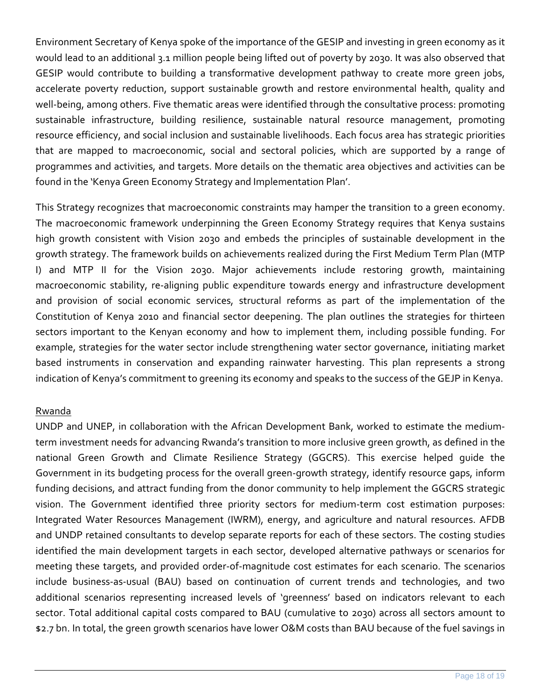Environment Secretary of Kenya spoke of the importance of the GESIP and investing in green economy as it would lead to an additional 3.1 million people being lifted out of poverty by 2030. It was also observed that GESIP would contribute to building a transformative development pathway to create more green jobs, accelerate poverty reduction, support sustainable growth and restore environmental health, quality and well-being, among others. Five thematic areas were identified through the consultative process: promoting sustainable infrastructure, building resilience, sustainable natural resource management, promoting resource efficiency, and social inclusion and sustainable livelihoods. Each focus area has strategic priorities that are mapped to macroeconomic, social and sectoral policies, which are supported by a range of programmes and activities, and targets. More details on the thematic area objectives and activities can be found in the 'Kenya Green Economy Strategy and Implementation Plan'.

This Strategy recognizes that macroeconomic constraints may hamper the transition to a green economy. The macroeconomic framework underpinning the Green Economy Strategy requires that Kenya sustains high growth consistent with Vision 2030 and embeds the principles of sustainable development in the growth strategy. The framework builds on achievements realized during the First Medium Term Plan (MTP I) and MTP II for the Vision 2030. Major achievements include restoring growth, maintaining macroeconomic stability, re-aligning public expenditure towards energy and infrastructure development and provision of social economic services, structural reforms as part of the implementation of the Constitution of Kenya 2010 and financial sector deepening. The plan outlines the strategies for thirteen sectors important to the Kenyan economy and how to implement them, including possible funding. For example, strategies for the water sector include strengthening water sector governance, initiating market based instruments in conservation and expanding rainwater harvesting. This plan represents a strong indication of Kenya's commitment to greening its economy and speaks to the success of the GEJP in Kenya.

#### Rwanda

UNDP and UNEP, in collaboration with the African Development Bank, worked to estimate the mediumterm investment needs for advancing Rwanda's transition to more inclusive green growth, as defined in the national Green Growth and Climate Resilience Strategy (GGCRS). This exercise helped guide the Government in its budgeting process for the overall green-growth strategy, identify resource gaps, inform funding decisions, and attract funding from the donor community to help implement the GGCRS strategic vision. The Government identified three priority sectors for medium-term cost estimation purposes: Integrated Water Resources Management (IWRM), energy, and agriculture and natural resources. AFDB and UNDP retained consultants to develop separate reports for each of these sectors. The costing studies identified the main development targets in each sector, developed alternative pathways or scenarios for meeting these targets, and provided order-of-magnitude cost estimates for each scenario. The scenarios include business-as-usual (BAU) based on continuation of current trends and technologies, and two additional scenarios representing increased levels of 'greenness' based on indicators relevant to each sector. Total additional capital costs compared to BAU (cumulative to 2030) across all sectors amount to \$2.7 bn. In total, the green growth scenarios have lower O&M costs than BAU because of the fuel savings in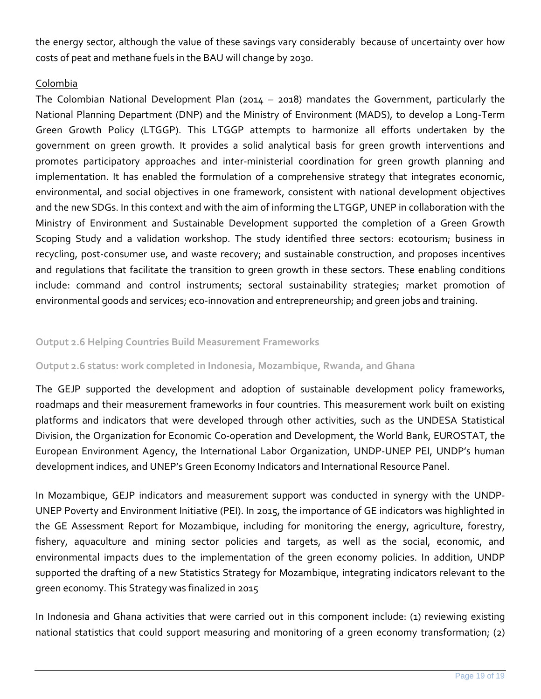the energy sector, although the value of these savings vary considerably because of uncertainty over how costs of peat and methane fuels in the BAU will change by 2030.

#### Colombia

The Colombian National Development Plan (2014 – 2018) mandates the Government, particularly the National Planning Department (DNP) and the Ministry of Environment (MADS), to develop a Long-Term Green Growth Policy (LTGGP). This LTGGP attempts to harmonize all efforts undertaken by the government on green growth. It provides a solid analytical basis for green growth interventions and promotes participatory approaches and inter-ministerial coordination for green growth planning and implementation. It has enabled the formulation of a comprehensive strategy that integrates economic, environmental, and social objectives in one framework, consistent with national development objectives and the new SDGs. In this context and with the aim of informing the LTGGP, UNEP in collaboration with the Ministry of Environment and Sustainable Development supported the completion of a Green Growth Scoping Study and a validation workshop. The study identified three sectors: ecotourism; business in recycling, post-consumer use, and waste recovery; and sustainable construction, and proposes incentives and regulations that facilitate the transition to green growth in these sectors. These enabling conditions include: command and control instruments; sectoral sustainability strategies; market promotion of environmental goods and services; eco-innovation and entrepreneurship; and green jobs and training.

#### **Output 2.6 Helping Countries Build Measurement Frameworks**

#### **Output 2.6 status: work completed in Indonesia, Mozambique, Rwanda, and Ghana**

The GEJP supported the development and adoption of sustainable development policy frameworks, roadmaps and their measurement frameworks in four countries. This measurement work built on existing platforms and indicators that were developed through other activities, such as the UNDESA Statistical Division, the Organization for Economic Co-operation and Development, the World Bank, EUROSTAT, the European Environment Agency, the International Labor Organization, UNDP-UNEP PEI, UNDP's human development indices, and UNEP's Green Economy Indicators and International Resource Panel.

In Mozambique, GEJP indicators and measurement support was conducted in synergy with the UNDP-UNEP Poverty and Environment Initiative (PEI). In 2015, the importance of GE indicators was highlighted in the GE Assessment Report for Mozambique, including for monitoring the energy, agriculture, forestry, fishery, aquaculture and mining sector policies and targets, as well as the social, economic, and environmental impacts dues to the implementation of the green economy policies. In addition, UNDP supported the drafting of a new Statistics Strategy for Mozambique, integrating indicators relevant to the green economy. This Strategy was finalized in 2015

In Indonesia and Ghana activities that were carried out in this component include: (1) reviewing existing national statistics that could support measuring and monitoring of a green economy transformation; (2)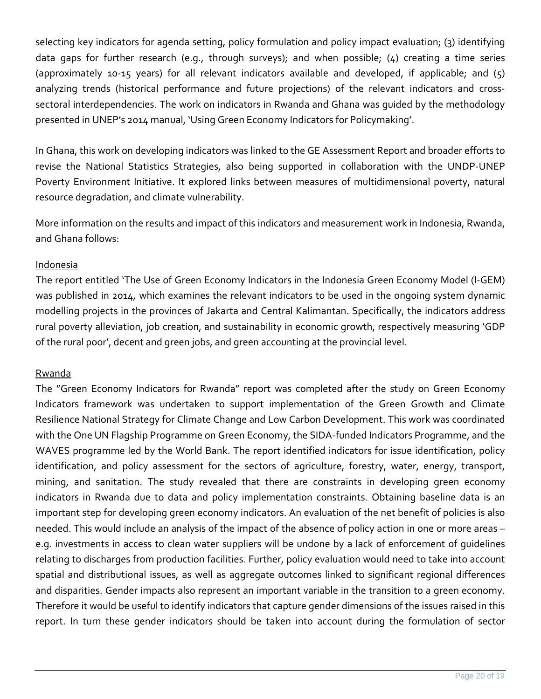selecting key indicators for agenda setting, policy formulation and policy impact evaluation; (3) identifying data gaps for further research (e.g., through surveys); and when possible; (4) creating a time series (approximately 10-15 years) for all relevant indicators available and developed, if applicable; and  $(5)$ analyzing trends (historical performance and future projections) of the relevant indicators and crosssectoral interdependencies. The work on indicators in Rwanda and Ghana was guided by the methodology presented in UNEP's 2014 manual, 'Using Green Economy Indicators for Policymaking'.

In Ghana, this work on developing indicators was linked to the GE Assessment Report and broader efforts to revise the National Statistics Strategies, also being supported in collaboration with the UNDP-UNEP Poverty Environment Initiative. It explored links between measures of multidimensional poverty, natural resource degradation, and climate vulnerability.

More information on the results and impact of this indicators and measurement work in Indonesia, Rwanda, and Ghana follows:

#### Indonesia

The report entitled 'The Use of Green Economy Indicators in the Indonesia Green Economy Model (I-GEM) was published in 2014, which examines the relevant indicators to be used in the ongoing system dynamic modelling projects in the provinces of Jakarta and Central Kalimantan. Specifically, the indicators address rural poverty alleviation, job creation, and sustainability in economic growth, respectively measuring 'GDP of the rural poor', decent and green jobs, and green accounting at the provincial level.

#### Rwanda

The "Green Economy Indicators for Rwanda" report was completed after the study on Green Economy Indicators framework was undertaken to support implementation of the Green Growth and Climate Resilience National Strategy for Climate Change and Low Carbon Development. This work was coordinated with the One UN Flagship Programme on Green Economy, the SIDA-funded Indicators Programme, and the WAVES programme led by the World Bank. The report identified indicators for issue identification, policy identification, and policy assessment for the sectors of agriculture, forestry, water, energy, transport, mining, and sanitation. The study revealed that there are constraints in developing green economy indicators in Rwanda due to data and policy implementation constraints. Obtaining baseline data is an important step for developing green economy indicators. An evaluation of the net benefit of policies is also needed. This would include an analysis of the impact of the absence of policy action in one or more areas – e.g. investments in access to clean water suppliers will be undone by a lack of enforcement of guidelines relating to discharges from production facilities. Further, policy evaluation would need to take into account spatial and distributional issues, as well as aggregate outcomes linked to significant regional differences and disparities. Gender impacts also represent an important variable in the transition to a green economy. Therefore it would be useful to identify indicators that capture gender dimensions of the issues raised in this report. In turn these gender indicators should be taken into account during the formulation of sector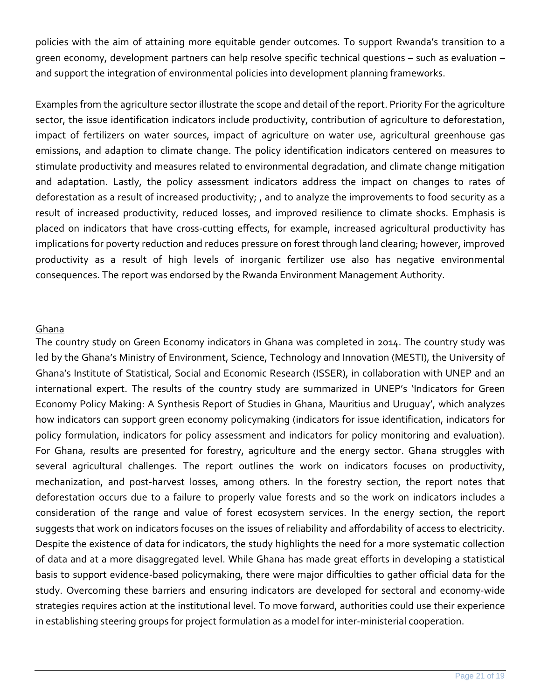policies with the aim of attaining more equitable gender outcomes. To support Rwanda's transition to a green economy, development partners can help resolve specific technical questions – such as evaluation – and support the integration of environmental policies into development planning frameworks.

Examples from the agriculture sector illustrate the scope and detail of the report. Priority For the agriculture sector, the issue identification indicators include productivity, contribution of agriculture to deforestation, impact of fertilizers on water sources, impact of agriculture on water use, agricultural greenhouse gas emissions, and adaption to climate change. The policy identification indicators centered on measures to stimulate productivity and measures related to environmental degradation, and climate change mitigation and adaptation. Lastly, the policy assessment indicators address the impact on changes to rates of deforestation as a result of increased productivity; , and to analyze the improvements to food security as a result of increased productivity, reduced losses, and improved resilience to climate shocks. Emphasis is placed on indicators that have cross-cutting effects, for example, increased agricultural productivity has implications for poverty reduction and reduces pressure on forest through land clearing; however, improved productivity as a result of high levels of inorganic fertilizer use also has negative environmental consequences. The report was endorsed by the Rwanda Environment Management Authority.

#### Ghana

The country study on Green Economy indicators in Ghana was completed in 2014. The country study was led by the Ghana's Ministry of Environment, Science, Technology and Innovation (MESTI), the University of Ghana's Institute of Statistical, Social and Economic Research (ISSER), in collaboration with UNEP and an international expert. The results of the country study are summarized in UNEP's 'Indicators for Green Economy Policy Making: A Synthesis Report of Studies in Ghana, Mauritius and Uruguay', which analyzes how indicators can support green economy policymaking (indicators for issue identification, indicators for policy formulation, indicators for policy assessment and indicators for policy monitoring and evaluation). For Ghana, results are presented for forestry, agriculture and the energy sector. Ghana struggles with several agricultural challenges. The report outlines the work on indicators focuses on productivity, mechanization, and post-harvest losses, among others. In the forestry section, the report notes that deforestation occurs due to a failure to properly value forests and so the work on indicators includes a consideration of the range and value of forest ecosystem services. In the energy section, the report suggests that work on indicators focuses on the issues of reliability and affordability of access to electricity. Despite the existence of data for indicators, the study highlights the need for a more systematic collection of data and at a more disaggregated level. While Ghana has made great efforts in developing a statistical basis to support evidence-based policymaking, there were major difficulties to gather official data for the study. Overcoming these barriers and ensuring indicators are developed for sectoral and economy-wide strategies requires action at the institutional level. To move forward, authorities could use their experience in establishing steering groups for project formulation as a model for inter-ministerial cooperation.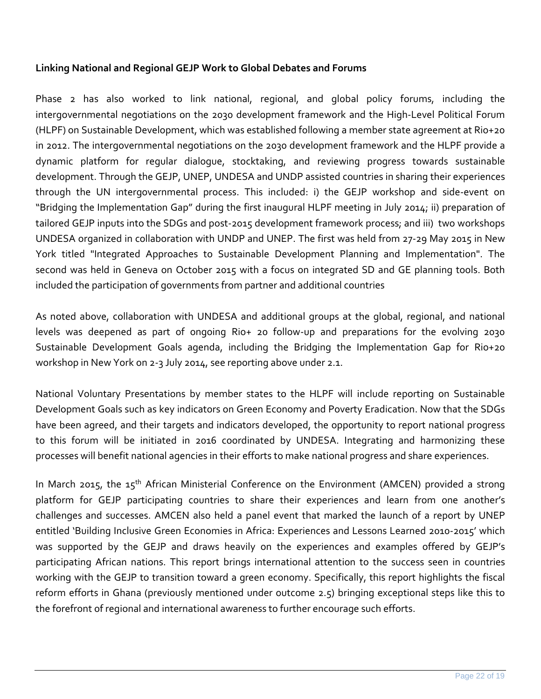#### **Linking National and Regional GEJP Work to Global Debates and Forums**

Phase 2 has also worked to link national, regional, and global policy forums, including the intergovernmental negotiations on the 2030 development framework and the High-Level Political Forum (HLPF) on Sustainable Development, which was established following a member state agreement at Rio+20 in 2012. The intergovernmental negotiations on the 2030 development framework and the HLPF provide a dynamic platform for regular dialogue, stocktaking, and reviewing progress towards sustainable development. Through the GEJP, UNEP, UNDESA and UNDP assisted countries in sharing their experiences through the UN intergovernmental process. This included: i) the GEJP workshop and side-event on "Bridging the Implementation Gap" during the first inaugural HLPF meeting in July 2014; ii) preparation of tailored GEJP inputs into the SDGs and post-2015 development framework process; and iii) two workshops UNDESA organized in collaboration with UNDP and UNEP. The first was held from 27-29 May 2015 in New York titled "Integrated Approaches to Sustainable Development Planning and Implementation". The second was held in Geneva on October 2015 with a focus on integrated SD and GE planning tools. Both included the participation of governments from partner and additional countries

As noted above, collaboration with UNDESA and additional groups at the global, regional, and national levels was deepened as part of ongoing Rio+ 20 follow-up and preparations for the evolving 2030 Sustainable Development Goals agenda, including the Bridging the Implementation Gap for Rio+20 workshop in New York on 2-3 July 2014, see reporting above under 2.1.

National Voluntary Presentations by member states to the HLPF will include reporting on Sustainable Development Goals such as key indicators on Green Economy and Poverty Eradication. Now that the SDGs have been agreed, and their targets and indicators developed, the opportunity to report national progress to this forum will be initiated in 2016 coordinated by UNDESA. Integrating and harmonizing these processes will benefit national agencies in their efforts to make national progress and share experiences.

In March 2015, the 15<sup>th</sup> African Ministerial Conference on the Environment (AMCEN) provided a strong platform for GEJP participating countries to share their experiences and learn from one another's challenges and successes. AMCEN also held a panel event that marked the launch of a report by UNEP entitled 'Building Inclusive Green Economies in Africa: Experiences and Lessons Learned 2010-2015' which was supported by the GEJP and draws heavily on the experiences and examples offered by GEJP's participating African nations. This report brings international attention to the success seen in countries working with the GEJP to transition toward a green economy. Specifically, this report highlights the fiscal reform efforts in Ghana (previously mentioned under outcome 2.5) bringing exceptional steps like this to the forefront of regional and international awareness to further encourage such efforts.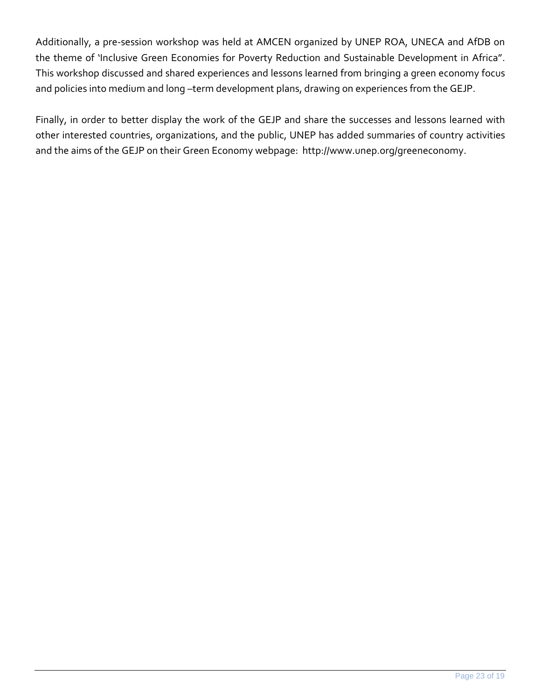Additionally, a pre-session workshop was held at AMCEN organized by UNEP ROA, UNECA and AfDB on the theme of 'Inclusive Green Economies for Poverty Reduction and Sustainable Development in Africa". This workshop discussed and shared experiences and lessons learned from bringing a green economy focus and policies into medium and long -term development plans, drawing on experiences from the GEJP.

Finally, in order to better display the work of the GEJP and share the successes and lessons learned with other interested countries, organizations, and the public, UNEP has added summaries of country activities and the aims of the GEJP on their Green Economy webpage: http://www.unep.org/greeneconomy.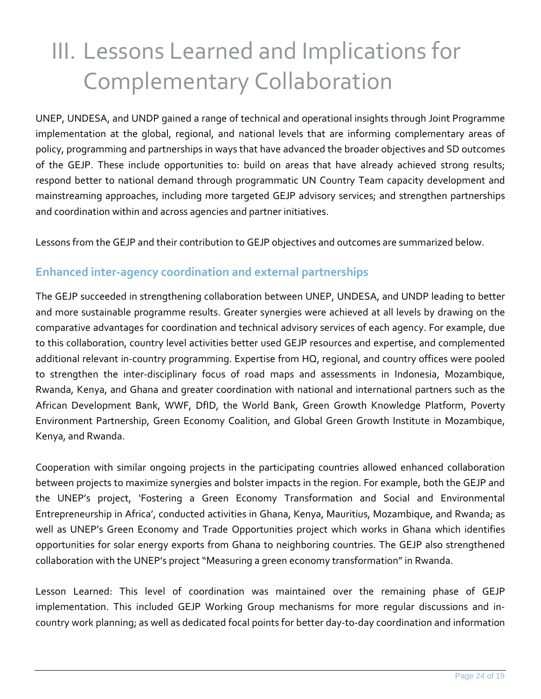# <span id="page-23-0"></span>III. Lessons Learned and Implications for Complementary Collaboration

UNEP, UNDESA, and UNDP gained a range of technical and operational insights through Joint Programme implementation at the global, regional, and national levels that are informing complementary areas of policy, programming and partnerships in ways that have advanced the broader objectives and SD outcomes of the GEJP. These include opportunities to: build on areas that have already achieved strong results; respond better to national demand through programmatic UN Country Team capacity development and mainstreaming approaches, including more targeted GEJP advisory services; and strengthen partnerships and coordination within and across agencies and partner initiatives.

Lessons from the GEJP and their contribution to GEJP objectives and outcomes are summarized below.

# **Enhanced inter-agency coordination and external partnerships**

The GEJP succeeded in strengthening collaboration between UNEP, UNDESA, and UNDP leading to better and more sustainable programme results. Greater synergies were achieved at all levels by drawing on the comparative advantages for coordination and technical advisory services of each agency. For example, due to this collaboration, country level activities better used GEJP resources and expertise, and complemented additional relevant in-country programming. Expertise from HQ, regional, and country offices were pooled to strengthen the inter-disciplinary focus of road maps and assessments in Indonesia, Mozambique, Rwanda, Kenya, and Ghana and greater coordination with national and international partners such as the African Development Bank, WWF, DfID, the World Bank, Green Growth Knowledge Platform, Poverty Environment Partnership, Green Economy Coalition, and Global Green Growth Institute in Mozambique, Kenya, and Rwanda.

Cooperation with similar ongoing projects in the participating countries allowed enhanced collaboration between projects to maximize synergies and bolster impacts in the region. For example, both the GEJP and the UNEP's project, 'Fostering a Green Economy Transformation and Social and Environmental Entrepreneurship in Africa', conducted activities in Ghana, Kenya, Mauritius, Mozambique, and Rwanda; as well as UNEP's Green Economy and Trade Opportunities project which works in Ghana which identifies opportunities for solar energy exports from Ghana to neighboring countries. The GEJP also strengthened collaboration with the UNEP's project "Measuring a green economy transformation" in Rwanda.

Lesson Learned: This level of coordination was maintained over the remaining phase of GEJP implementation. This included GEJP Working Group mechanisms for more regular discussions and incountry work planning; as well as dedicated focal points for better day-to-day coordination and information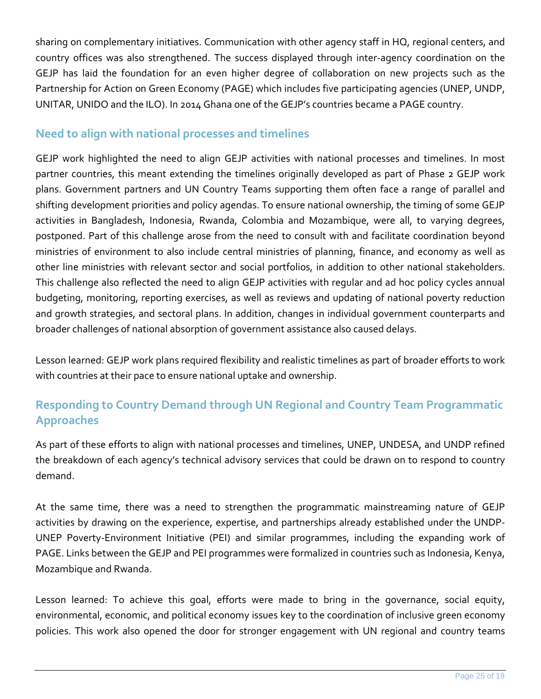sharing on complementary initiatives. Communication with other agency staff in HQ, regional centers, and country offices was also strengthened. The success displayed through inter-agency coordination on the GEJP has laid the foundation for an even higher degree of collaboration on new projects such as the Partnership for Action on Green Economy (PAGE) which includes five participating agencies (UNEP, UNDP, UNITAR, UNIDO and the ILO). In 2014 Ghana one of the GEJP's countries became a PAGE country.

## **Need to align with national processes and timelines**

GEJP work highlighted the need to align GEJP activities with national processes and timelines. In most partner countries, this meant extending the timelines originally developed as part of Phase 2 GEJP work plans. Government partners and UN Country Teams supporting them often face a range of parallel and shifting development priorities and policy agendas. To ensure national ownership, the timing of some GEJP activities in Bangladesh, Indonesia, Rwanda, Colombia and Mozambique, were all, to varying degrees, postponed. Part of this challenge arose from the need to consult with and facilitate coordination beyond ministries of environment to also include central ministries of planning, finance, and economy as well as other line ministries with relevant sector and social portfolios, in addition to other national stakeholders. This challenge also reflected the need to align GEJP activities with regular and ad hoc policy cycles annual budgeting, monitoring, reporting exercises, as well as reviews and updating of national poverty reduction and growth strategies, and sectoral plans. In addition, changes in individual government counterparts and broader challenges of national absorption of government assistance also caused delays.

Lesson learned: GEJP work plans required flexibility and realistic timelines as part of broader efforts to work with countries at their pace to ensure national uptake and ownership.

# **Responding to Country Demand through UN Regional and Country Team Programmatic Approaches**

As part of these efforts to align with national processes and timelines, UNEP, UNDESA, and UNDP refined the breakdown of each agency's technical advisory services that could be drawn on to respond to country demand.

At the same time, there was a need to strengthen the programmatic mainstreaming nature of GEJP activities by drawing on the experience, expertise, and partnerships already established under the UNDP-UNEP Poverty-Environment Initiative (PEI) and similar programmes, including the expanding work of PAGE. Links between the GEJP and PEI programmes were formalized in countries such as Indonesia, Kenya, Mozambique and Rwanda.

Lesson learned: To achieve this goal, efforts were made to bring in the governance, social equity, environmental, economic, and political economy issues key to the coordination of inclusive green economy policies. This work also opened the door for stronger engagement with UN regional and country teams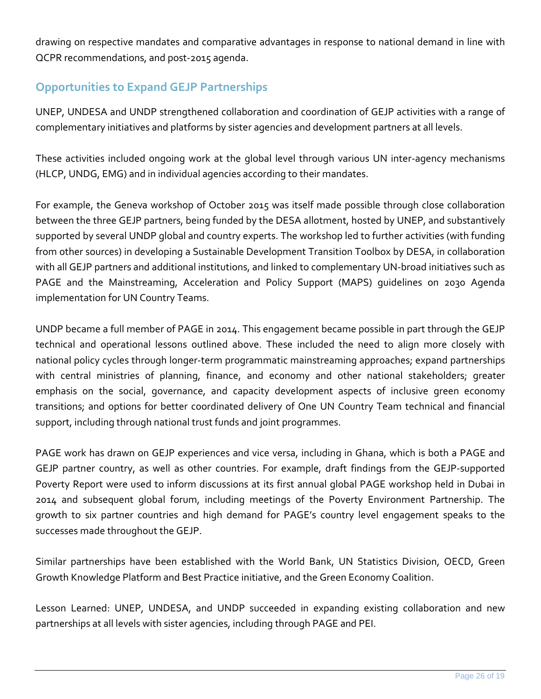drawing on respective mandates and comparative advantages in response to national demand in line with QCPR recommendations, and post-2015 agenda.

# **Opportunities to Expand GEJP Partnerships**

UNEP, UNDESA and UNDP strengthened collaboration and coordination of GEJP activities with a range of complementary initiatives and platforms by sister agencies and development partners at all levels.

These activities included ongoing work at the global level through various UN inter-agency mechanisms (HLCP, UNDG, EMG) and in individual agencies according to their mandates.

For example, the Geneva workshop of October 2015 was itself made possible through close collaboration between the three GEJP partners, being funded by the DESA allotment, hosted by UNEP, and substantively supported by several UNDP global and country experts. The workshop led to further activities (with funding from other sources) in developing a Sustainable Development Transition Toolbox by DESA, in collaboration with all GEJP partners and additional institutions, and linked to complementary UN-broad initiatives such as PAGE and the Mainstreaming, Acceleration and Policy Support (MAPS) guidelines on 2030 Agenda implementation for UN Country Teams.

UNDP became a full member of PAGE in 2014. This engagement became possible in part through the GEJP technical and operational lessons outlined above. These included the need to align more closely with national policy cycles through longer-term programmatic mainstreaming approaches; expand partnerships with central ministries of planning, finance, and economy and other national stakeholders; greater emphasis on the social, governance, and capacity development aspects of inclusive green economy transitions; and options for better coordinated delivery of One UN Country Team technical and financial support, including through national trust funds and joint programmes.

PAGE work has drawn on GEJP experiences and vice versa, including in Ghana, which is both a PAGE and GEJP partner country, as well as other countries. For example, draft findings from the GEJP-supported Poverty Report were used to inform discussions at its first annual global PAGE workshop held in Dubai in 2014 and subsequent global forum, including meetings of the Poverty Environment Partnership. The growth to six partner countries and high demand for PAGE's country level engagement speaks to the successes made throughout the GEJP.

Similar partnerships have been established with the World Bank, UN Statistics Division, OECD, Green Growth Knowledge Platform and Best Practice initiative, and the Green Economy Coalition.

Lesson Learned: UNEP, UNDESA, and UNDP succeeded in expanding existing collaboration and new partnerships at all levels with sister agencies, including through PAGE and PEI.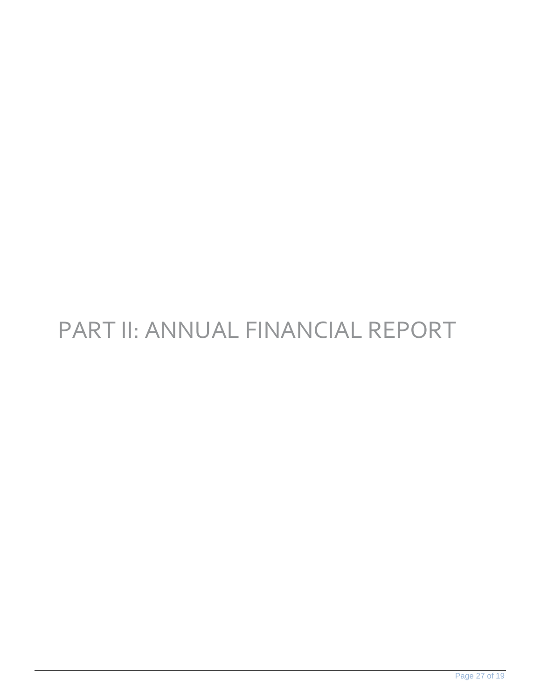# PART II: ANNUAL FINANCIAL REPORT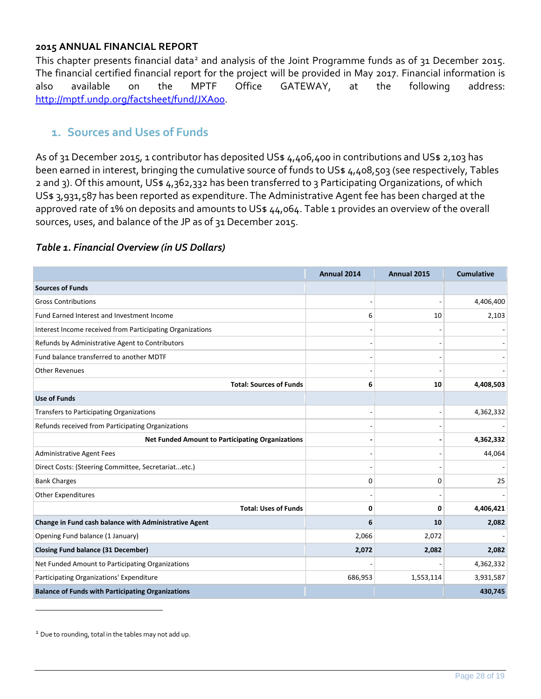#### **2015 ANNUAL FINANCIAL REPORT**

This chapter presents financial data<sup>[2](#page-27-1)</sup> and analysis of the Joint Programme funds as of 31 December 2015. The financial certified financial report for the project will be provided in May 2017. Financial information is also available on the MPTF Office GATEWAY, at the following address: [http://mptf.undp.org/factsheet/fund/JXA00.](http://mptf.undp.org/factsheet/fund/JXA00)

### <span id="page-27-0"></span>**1. Sources and Uses of Funds**

As of 31 December 2015, 1 contributor has deposited US\$ 4,406,400 in contributions and US\$ 2,103 has been earned in interest, bringing the cumulative source of funds to US\$ 4,408,503 (see respectively, Tables 2 and 3). Of this amount, US\$ 4,362,332 has been transferred to 3 Participating Organizations, of which US\$ 3,931,587 has been reported as expenditure. The Administrative Agent fee has been charged at the approved rate of 1% on deposits and amounts to US\$ 44,064. Table 1 provides an overview of the overall sources, uses, and balance of the JP as of 31 December 2015.

#### *Table 1. Financial Overview (in US Dollars)*

|                                                           | Annual 2014 | Annual 2015 | <b>Cumulative</b> |
|-----------------------------------------------------------|-------------|-------------|-------------------|
| <b>Sources of Funds</b>                                   |             |             |                   |
| <b>Gross Contributions</b>                                |             |             | 4,406,400         |
| Fund Earned Interest and Investment Income                | 6           | 10          | 2,103             |
| Interest Income received from Participating Organizations |             |             |                   |
| Refunds by Administrative Agent to Contributors           |             |             |                   |
| Fund balance transferred to another MDTF                  |             |             |                   |
| <b>Other Revenues</b>                                     |             |             |                   |
| <b>Total: Sources of Funds</b>                            | 6           | 10          | 4,408,503         |
| <b>Use of Funds</b>                                       |             |             |                   |
| Transfers to Participating Organizations                  |             |             | 4,362,332         |
| Refunds received from Participating Organizations         |             |             |                   |
| <b>Net Funded Amount to Participating Organizations</b>   |             |             | 4,362,332         |
| <b>Administrative Agent Fees</b>                          |             |             | 44,064            |
| Direct Costs: (Steering Committee, Secretariatetc.)       |             |             |                   |
| <b>Bank Charges</b>                                       | $\Omega$    | 0           | 25                |
| <b>Other Expenditures</b>                                 |             |             |                   |
| <b>Total: Uses of Funds</b>                               | 0           | 0           | 4,406,421         |
| Change in Fund cash balance with Administrative Agent     | 6           | 10          | 2,082             |
| Opening Fund balance (1 January)                          | 2,066       | 2,072       |                   |
| <b>Closing Fund balance (31 December)</b>                 | 2,072       | 2,082       | 2,082             |
| Net Funded Amount to Participating Organizations          |             |             | 4,362,332         |
| Participating Organizations' Expenditure                  | 686,953     | 1,553,114   | 3,931,587         |
| <b>Balance of Funds with Participating Organizations</b>  |             |             | 430,745           |

<span id="page-27-1"></span><sup>&</sup>lt;sup>2</sup> Due to rounding, total in the tables may not add up.

1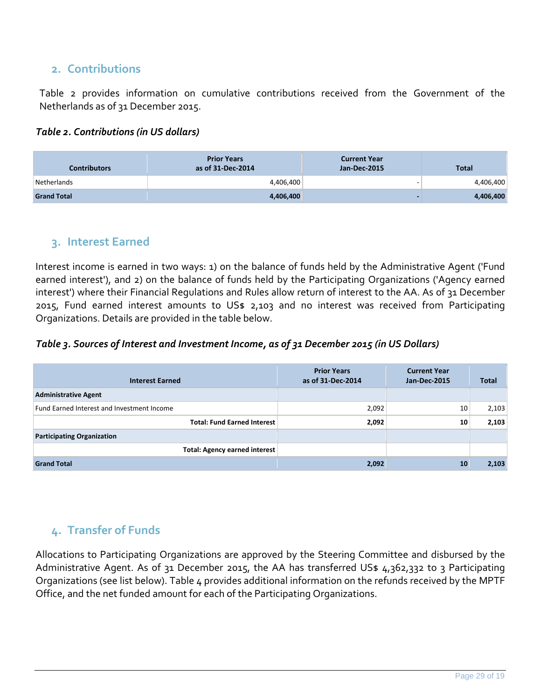### <span id="page-28-0"></span>**2. Contributions**

Table 2 provides information on cumulative contributions received from the Government of the Netherlands as of 31 December 2015.

#### *Table 2. Contributions (in US dollars)*

| <b>Contributors</b> | <b>Prior Years</b><br>as of 31-Dec-2014 | <b>Current Year</b><br>Jan-Dec-2015 | <b>Total</b> |
|---------------------|-----------------------------------------|-------------------------------------|--------------|
| Netherlands         | 4,406,400                               | $\overline{\phantom{0}}$            | 4,406,400    |
| <b>Grand Total</b>  | 4,406,400                               |                                     | 4,406,400    |

#### <span id="page-28-1"></span>**3. Interest Earned**

Interest income is earned in two ways: 1) on the balance of funds held by the Administrative Agent ('Fund earned interest'), and 2) on the balance of funds held by the Participating Organizations ('Agency earned interest') where their Financial Regulations and Rules allow return of interest to the AA. As of 31 December 2015, Fund earned interest amounts to US\$ 2,103 and no interest was received from Participating Organizations. Details are provided in the table below.

*Table 3. Sources of Interest and Investment Income, as of 31 December 2015 (in US Dollars)*

| <b>Interest Earned</b>                     | <b>Prior Years</b><br>as of 31-Dec-2014 | <b>Current Year</b><br><b>Jan-Dec-2015</b> | <b>Total</b> |
|--------------------------------------------|-----------------------------------------|--------------------------------------------|--------------|
| <b>Administrative Agent</b>                |                                         |                                            |              |
| Fund Earned Interest and Investment Income | 2,092                                   | 10                                         | 2,103        |
| <b>Total: Fund Earned Interest</b>         | 2,092                                   | 10                                         | 2,103        |
| <b>Participating Organization</b>          |                                         |                                            |              |
| <b>Total: Agency earned interest</b>       |                                         |                                            |              |
| <b>Grand Total</b>                         | 2,092                                   | 10                                         | 2,103        |

# <span id="page-28-2"></span>**4. Transfer of Funds**

Allocations to Participating Organizations are approved by the Steering Committee and disbursed by the Administrative Agent. As of 31 December 2015, the AA has transferred US\$ 4,362,332 to 3 Participating Organizations (see list below). Table 4 provides additional information on the refunds received by the MPTF Office, and the net funded amount for each of the Participating Organizations.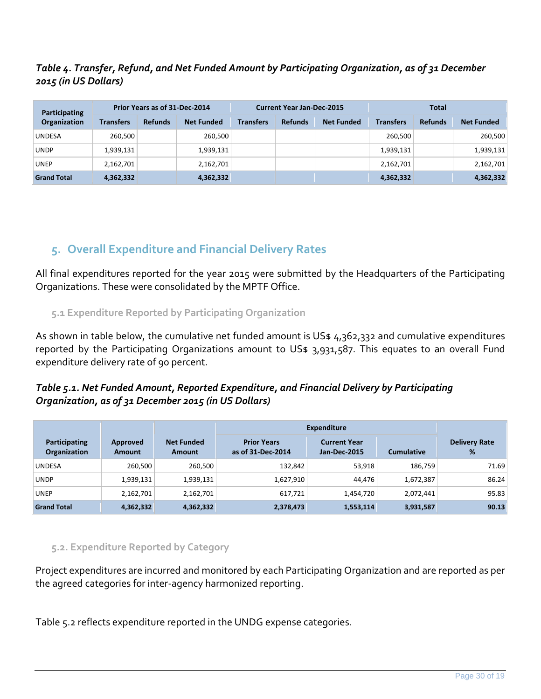#### *Table 4. Transfer, Refund, and Net Funded Amount by Participating Organization, as of 31 December 2015 (in US Dollars)*

| <b>Participating</b> |                  | Prior Years as of 31-Dec-2014 |                   | <b>Current Year Jan-Dec-2015</b> |                |                   |                  | <b>Total</b>   |                   |
|----------------------|------------------|-------------------------------|-------------------|----------------------------------|----------------|-------------------|------------------|----------------|-------------------|
| <b>Organization</b>  | <b>Transfers</b> | <b>Refunds</b>                | <b>Net Funded</b> | <b>Transfers</b>                 | <b>Refunds</b> | <b>Net Funded</b> | <b>Transfers</b> | <b>Refunds</b> | <b>Net Funded</b> |
| <b>UNDESA</b>        | 260,500          |                               | 260.500           |                                  |                |                   | 260,500          |                | 260,500           |
| <b>UNDP</b>          | 1,939,131        |                               | 1,939,131         |                                  |                |                   | 1,939,131        |                | 1,939,131         |
| <b>UNEP</b>          | 2,162,701        |                               | 2,162,701         |                                  |                |                   | 2,162,701        |                | 2,162,701         |
| <b>Grand Total</b>   | 4,362,332        |                               | 4,362,332         |                                  |                |                   | 4,362,332        |                | 4,362,332         |

# <span id="page-29-0"></span>**5. Overall Expenditure and Financial Delivery Rates**

All final expenditures reported for the year 2015 were submitted by the Headquarters of the Participating Organizations. These were consolidated by the MPTF Office.

#### <span id="page-29-1"></span>**5.1 Expenditure Reported by Participating Organization**

As shown in table below, the cumulative net funded amount is US\$ 4,362,332 and cumulative expenditures reported by the Participating Organizations amount to US\$ 3,931,587. This equates to an overall Fund expenditure delivery rate of 90 percent.

#### *Table 5.1. Net Funded Amount, Reported Expenditure, and Financial Delivery by Participating Organization, as of 31 December 2015 (in US Dollars)*

|                               |                           |                             | <b>Expenditure</b>                      |                                            |                   |                           |
|-------------------------------|---------------------------|-----------------------------|-----------------------------------------|--------------------------------------------|-------------------|---------------------------|
| Participating<br>Organization | Approved<br><b>Amount</b> | <b>Net Funded</b><br>Amount | <b>Prior Years</b><br>as of 31-Dec-2014 | <b>Current Year</b><br><b>Jan-Dec-2015</b> | <b>Cumulative</b> | <b>Delivery Rate</b><br>% |
| <b>UNDESA</b>                 | 260,500                   | 260,500                     | 132,842                                 | 53,918                                     | 186,759           | 71.69                     |
| <b>UNDP</b>                   | 1,939,131                 | 1,939,131                   | 1,627,910                               | 44,476                                     | 1,672,387         | 86.24                     |
| <b>UNEP</b>                   | 2,162,701                 | 2,162,701                   | 617,721                                 | 1,454,720                                  | 2,072,441         | 95.83                     |
| <b>Grand Total</b>            | 4,362,332                 | 4,362,332                   | 2,378,473                               | 1,553,114                                  | 3,931,587         | 90.13                     |

#### <span id="page-29-2"></span>**5.2. Expenditure Reported by Category**

Project expenditures are incurred and monitored by each Participating Organization and are reported as per the agreed categories for inter-agency harmonized reporting.

Table 5.2 reflects expenditure reported in the UNDG expense categories.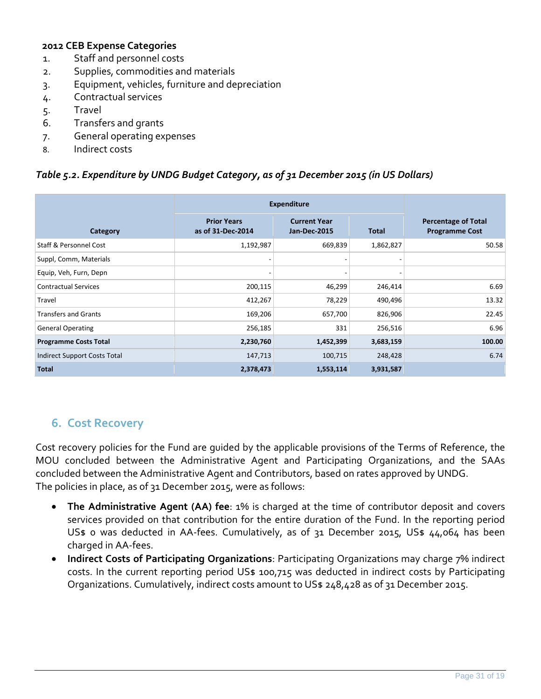#### **2012 CEB Expense Categories**

- 1. Staff and personnel costs
- 2. Supplies, commodities and materials
- 3. Equipment, vehicles, furniture and depreciation
- 4. Contractual services
- 5. Travel
- 6. Transfers and grants
- 7. General operating expenses
- 8. Indirect costs

#### *Table 5.2. Expenditure by UNDG Budget Category, as of 31 December 2015 (in US Dollars)*

|                                   | <b>Expenditure</b>                      |                                            |              |                                                     |
|-----------------------------------|-----------------------------------------|--------------------------------------------|--------------|-----------------------------------------------------|
| Category                          | <b>Prior Years</b><br>as of 31-Dec-2014 | <b>Current Year</b><br><b>Jan-Dec-2015</b> | <b>Total</b> | <b>Percentage of Total</b><br><b>Programme Cost</b> |
| <b>Staff &amp; Personnel Cost</b> | 1,192,987                               | 669,839                                    | 1,862,827    | 50.58                                               |
| Suppl, Comm, Materials            |                                         |                                            |              |                                                     |
| Equip, Veh, Furn, Depn            |                                         |                                            |              |                                                     |
| <b>Contractual Services</b>       | 200,115                                 | 46,299                                     | 246,414      | 6.69                                                |
| Travel                            | 412,267                                 | 78,229                                     | 490,496      | 13.32                                               |
| <b>Transfers and Grants</b>       | 169,206                                 | 657,700                                    | 826,906      | 22.45                                               |
| <b>General Operating</b>          | 256,185                                 | 331                                        | 256,516      | 6.96                                                |
| <b>Programme Costs Total</b>      | 2,230,760                               | 1,452,399                                  | 3,683,159    | 100.00                                              |
| Indirect Support Costs Total      | 147,713                                 | 100,715                                    | 248,428      | 6.74                                                |
| <b>Total</b>                      | 2,378,473                               | 1,553,114                                  | 3,931,587    |                                                     |

### <span id="page-30-0"></span>**6. Cost Recovery**

Cost recovery policies for the Fund are guided by the applicable provisions of the Terms of Reference, the MOU concluded between the Administrative Agent and Participating Organizations, and the SAAs concluded between the Administrative Agent and Contributors, based on rates approved by UNDG. The policies in place, as of 31 December 2015, were as follows:

- **The Administrative Agent (AA) fee**: 1% is charged at the time of contributor deposit and covers services provided on that contribution for the entire duration of the Fund. In the reporting period US\$ 0 was deducted in AA-fees. Cumulatively, as of 31 December 2015, US\$ 44,064 has been charged in AA-fees.
- **Indirect Costs of Participating Organizations**: Participating Organizations may charge 7% indirect costs. In the current reporting period US\$ 100,715 was deducted in indirect costs by Participating Organizations. Cumulatively, indirect costs amount to US\$ 248,428 as of 31 December 2015.